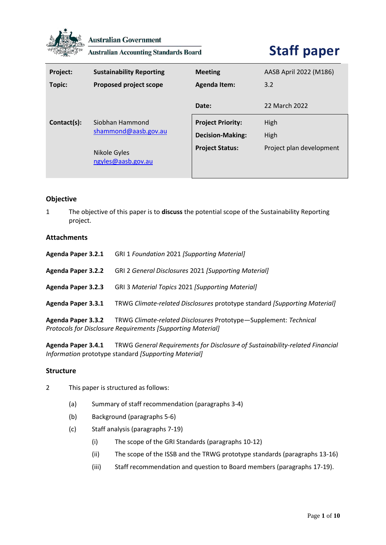

**Australian Government** 

**Australian Accounting Standards Board** 

# **Staff paper**

| Project:<br>Topic: | <b>Sustainability Reporting</b><br><b>Proposed project scope</b>              | <b>Meeting</b><br><b>Agenda Item:</b>                                         | AASB April 2022 (M186)<br>3.2            |
|--------------------|-------------------------------------------------------------------------------|-------------------------------------------------------------------------------|------------------------------------------|
|                    |                                                                               | Date:                                                                         | 22 March 2022                            |
| Contact(s):        | Siobhan Hammond<br>shammond@aasb.gov.au<br>Nikole Gyles<br>ngyles@aasb.gov.au | <b>Project Priority:</b><br><b>Decision-Making:</b><br><b>Project Status:</b> | High<br>High<br>Project plan development |

## **Objective**

1 The objective of this paper is to **discuss** the potential scope of the Sustainability Reporting project.

## **Attachments**

|                           | Protocols for Disclosure Requirements [Supporting Material]               |
|---------------------------|---------------------------------------------------------------------------|
| Agenda Paper 3.3.2        | TRWG Climate-related Disclosures Prototype-Supplement: Technical          |
| Agenda Paper 3.3.1        | TRWG Climate-related Disclosures prototype standard [Supporting Material] |
| <b>Agenda Paper 3.2.3</b> | <b>GRI 3 Material Topics 2021 [Supporting Material]</b>                   |
| <b>Agenda Paper 3.2.2</b> | <b>GRI 2 General Disclosures 2021 [Supporting Material]</b>               |
| <b>Agenda Paper 3.2.1</b> | GRI 1 Foundation 2021 [Supporting Material]                               |

**Agenda Paper 3.4.1** TRWG *General Requirements for Disclosure of Sustainability-related Financial Information* prototype standard *[Supporting Material]*

#### **Structure**

- 2 This paper is structured as follows:
	- (a) Summary of staff recommendation (paragraphs 3-4)
	- (b) Background (paragraphs 5-6)
	- (c) Staff analysis (paragraphs 7-19)
		- (i) The scope of the GRI Standards (paragraphs 10-12)
		- (ii) The scope of the ISSB and the TRWG prototype standards (paragraphs 13-16)
		- (iii) Staff recommendation and question to Board members (paragraphs 17-19).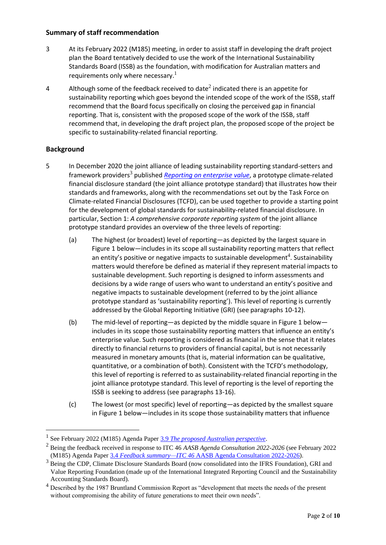## **Summary of staff recommendation**

- 3 At its February 2022 (M185) meeting, in order to assist staff in developing the draft project plan the Board tentatively decided to use the work of the International Sustainability Standards Board (ISSB) as the foundation, with modification for Australian matters and requirements only where necessary.<sup>1</sup>
- 4 Although some of the feedback received to date<sup>2</sup> indicated there is an appetite for sustainability reporting which goes beyond the intended scope of the work of the ISSB, staff recommend that the Board focus specifically on closing the perceived gap in financial reporting. That is, consistent with the proposed scope of the work of the ISSB, staff recommend that, in developing the draft project plan, the proposed scope of the project be specific to sustainability-related financial reporting.

## **Background**

- 5 In December 2020 the joint alliance of leading sustainability reporting standard-setters and framework providers<sup>3</sup> published *[Reporting on enterprise value](https://29kjwb3armds2g3gi4lq2sx1-wpengine.netdna-ssl.com/wp-content/uploads/Reporting-on-enterprise-value_climate-prototype_Dec20.pdf)*, a prototype climate-related financial disclosure standard (the joint alliance prototype standard) that illustrates how their standards and frameworks, along with the recommendations set out by the Task Force on Climate-related Financial Disclosures (TCFD), can be used together to provide a starting point for the development of global standards for sustainability-related financial disclosure. In particular, Section 1: *A comprehensive corporate reporting system* of the joint alliance prototype standard provides an overview of the three levels of reporting:
	- (a) The highest (or broadest) level of reporting—as depicted by the largest square in Figure 1 below—includes in its scope all sustainability reporting matters that reflect an entity's positive or negative impacts to sustainable development<sup>4</sup>. Sustainability matters would therefore be defined as material if they represent material impacts to sustainable development. Such reporting is designed to inform assessments and decisions by a wide range of users who want to understand an entity's positive and negative impacts to sustainable development (referred to by the joint alliance prototype standard as 'sustainability reporting'). This level of reporting is currently addressed by the Global Reporting Initiative (GRI) (see paragraphs 10-12).
	- (b) The mid-level of reporting—as depicted by the middle square in Figure 1 below includes in its scope those sustainability reporting matters that influence an entity's enterprise value. Such reporting is considered as financial in the sense that it relates directly to financial returns to providers of financial capital, but is not necessarily measured in monetary amounts (that is, material information can be qualitative, quantitative, or a combination of both). Consistent with the TCFD's methodology, this level of reporting is referred to as sustainability-related financial reporting in the joint alliance prototype standard. This level of reporting is the level of reporting the ISSB is seeking to address (see paragraphs 13-16).
	- (c) The lowest (or most specific) level of reporting—as depicted by the smallest square in Figure 1 below—includes in its scope those sustainability matters that influence

<sup>&</sup>lt;sup>1</sup> See February 2022 (M185) Agenda Paper 3.9 *[The proposed Australian perspective](https://www.aasb.gov.au/media/kcnl1zic/3-9_sr_proposedaustperspective_m185_pp.pdf)*.

<sup>2</sup> Being the feedback received in response to ITC 46 *AASB Agenda Consultation 2022-2026* (see February 2022 (M185) Agenda Paper 3.4 *Feedback summary—ITC 46* [AASB Agenda Consultation 2022-2026\)](https://www.aasb.gov.au/media/ylwp41rf/3-4_sr_feedbacksummary_itc46_m185_pp.pdf).

<sup>&</sup>lt;sup>3</sup> Being the CDP, Climate Disclosure Standards Board (now consolidated into the IFRS Foundation), GRI and Value Reporting Foundation (made up of the International Integrated Reporting Council and the Sustainability Accounting Standards Board).

<sup>&</sup>lt;sup>4</sup> Described by the 1987 Bruntland Commission Report as "development that meets the needs of the present without compromising the ability of future generations to meet their own needs".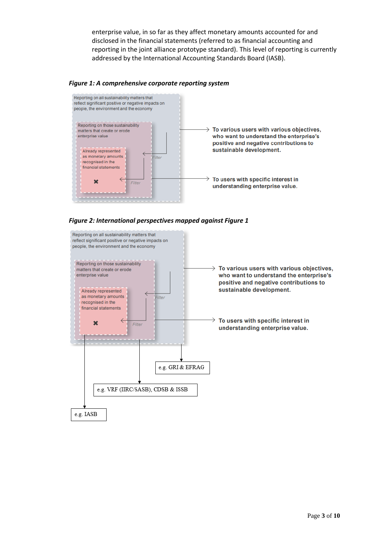enterprise value, in so far as they affect monetary amounts accounted for and disclosed in the financial statements (referred to as financial accounting and reporting in the joint alliance prototype standard). This level of reporting is currently addressed by the International Accounting Standards Board (IASB).







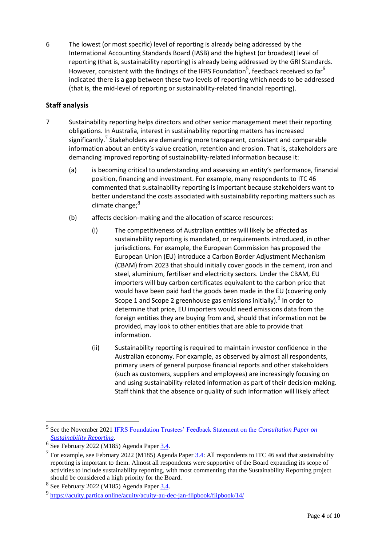6 The lowest (or most specific) level of reporting is already being addressed by the International Accounting Standards Board (IASB) and the highest (or broadest) level of reporting (that is, sustainability reporting) is already being addressed by the GRI Standards. However, consistent with the findings of the IFRS Foundation<sup>5</sup>, feedback received so far<sup>6</sup> indicated there is a gap between these two levels of reporting which needs to be addressed (that is, the mid-level of reporting or sustainability-related financial reporting).

# **Staff analysis**

- 7 Sustainability reporting helps directors and other senior management meet their reporting obligations. In Australia, interest in sustainability reporting matters has increased significantly.<sup>7</sup> Stakeholders are demanding more transparent, consistent and comparable information about an entity's value creation, retention and erosion. That is, stakeholders are demanding improved reporting of sustainability-related information because it:
	- (a) is becoming critical to understanding and assessing an entity's performance, financial position, financing and investment. For example, many respondents to ITC 46 commented that sustainability reporting is important because stakeholders want to better understand the costs associated with sustainability reporting matters such as climate change;<sup>8</sup>
	- (b) affects decision-making and the allocation of scarce resources:
		- (i) The competitiveness of Australian entities will likely be affected as sustainability reporting is mandated, or requirements introduced, in other jurisdictions. For example, the European Commission has proposed the European Union (EU) introduce a Carbon Border Adjustment Mechanism (CBAM) from 2023 that should initially cover goods in the cement, iron and steel, aluminium, fertiliser and electricity sectors. Under the CBAM, EU importers will buy carbon certificates equivalent to the carbon price that would have been paid had the goods been made in the EU (covering only Scope 1 and Scope 2 greenhouse gas emissions initially). $^9$  In order to determine that price, EU importers would need emissions data from the foreign entities they are buying from and, should that information not be provided, may look to other entities that are able to provide that information.
		- (ii) Sustainability reporting is required to maintain investor confidence in the Australian economy. For example, as observed by almost all respondents, primary users of general purpose financial reports and other stakeholders (such as customers, suppliers and employees) are increasingly focusing on and using sustainability-related information as part of their decision-making. Staff think that the absence or quality of such information will likely affect

<sup>5</sup> See the November 2021 [IFRS Foundation Trustees' Feedback Statement on the](https://www.ifrs.org/content/dam/ifrs/project/sustainability-reporting/sustainability-consultation-paper-feedback-statement.pdf) *Consultation Paper on [Sustainability Reporting](https://www.ifrs.org/content/dam/ifrs/project/sustainability-reporting/sustainability-consultation-paper-feedback-statement.pdf)*.

<sup>&</sup>lt;sup>6</sup> See February 2022 (M185) Agenda Paper [3.4.](https://www.aasb.gov.au/media/ylwp41rf/3-4_sr_feedbacksummary_itc46_m185_pp.pdf)

<sup>&</sup>lt;sup>7</sup> For example, see February 2022 (M185) Agenda Paper  $3.4$ : All respondents to ITC 46 said that sustainability reporting is important to them. Almost all respondents were supportive of the Board expanding its scope of activities to include sustainability reporting, with most commenting that the Sustainability Reporting project should be considered a high priority for the Board.

<sup>&</sup>lt;sup>8</sup> See February 2022 (M185) Agenda Pape[r 3.4.](https://www.aasb.gov.au/media/ylwp41rf/3-4_sr_feedbacksummary_itc46_m185_pp.pdf)

<sup>&</sup>lt;sup>9</sup> <https://acuity.partica.online/acuity/acuity-au-dec-jan-flipbook/flipbook/14/>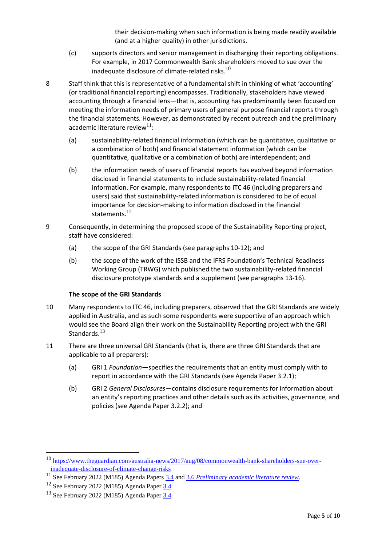their decision-making when such information is being made readily available (and at a higher quality) in other jurisdictions.

- (c) supports directors and senior management in discharging their reporting obligations. For example, in 2017 Commonwealth Bank shareholders moved to sue over the inadequate disclosure of climate-related risks. $^{10}$
- 8 Staff think that this is representative of a fundamental shift in thinking of what 'accounting' (or traditional financial reporting) encompasses. Traditionally, stakeholders have viewed accounting through a financial lens—that is, accounting has predominantly been focused on meeting the information needs of primary users of general purpose financial reports through the financial statements. However, as demonstrated by recent outreach and the preliminary academic literature review $11$ :
	- (a) sustainability-related financial information (which can be quantitative, qualitative or a combination of both) and financial statement information (which can be quantitative, qualitative or a combination of both) are interdependent; and
	- (b) the information needs of users of financial reports has evolved beyond information disclosed in financial statements to include sustainability-related financial information. For example, many respondents to ITC 46 (including preparers and users) said that sustainability-related information is considered to be of equal importance for decision-making to information disclosed in the financial statements.<sup>12</sup>
- 9 Consequently, in determining the proposed scope of the Sustainability Reporting project, staff have considered:
	- (a) the scope of the GRI Standards (see paragraphs 10-12); and
	- (b) the scope of the work of the ISSB and the IFRS Foundation's Technical Readiness Working Group (TRWG) which published the two sustainability-related financial disclosure prototype standards and a supplement (see paragraphs 13-16).

#### **The scope of the GRI Standards**

- 10 Many respondents to ITC 46, including preparers, observed that the GRI Standards are widely applied in Australia, and as such some respondents were supportive of an approach which would see the Board align their work on the Sustainability Reporting project with the GRI Standards.<sup>13</sup>
- 11 There are three universal GRI Standards (that is, there are three GRI Standards that are applicable to all preparers):
	- (a) GRI 1 *Foundation*—specifies the requirements that an entity must comply with to report in accordance with the GRI Standards (see Agenda Paper 3.2.1);
	- (b) GRI 2 *General Disclosures*—contains disclosure requirements for information about an entity's reporting practices and other details such as its activities, governance, and policies (see Agenda Paper 3.2.2); and

<sup>10</sup> [https://www.theguardian.com/australia-news/2017/aug/08/commonwealth-bank-shareholders-sue-over](https://www.theguardian.com/australia-news/2017/aug/08/commonwealth-bank-shareholders-sue-over-inadequate-disclosure-of-climate-change-risks)[inadequate-disclosure-of-climate-change-risks](https://www.theguardian.com/australia-news/2017/aug/08/commonwealth-bank-shareholders-sue-over-inadequate-disclosure-of-climate-change-risks)

<sup>&</sup>lt;sup>11</sup> See February 2022 (M185) Agenda Papers [3.4](https://www.aasb.gov.au/media/ylwp41rf/3-4_sr_feedbacksummary_itc46_m185_pp.pdf) and 3.6 *[Preliminary academic literature review](https://www.aasb.gov.au/media/yiyazjak/3-6_sr_prelimacademiclitreview_m185_pp.pdf)*.

 $12$  See February 2022 (M185) Agenda Paper  $3.4$ .

<sup>13</sup> See February 2022 (M185) Agenda Pape[r 3.4.](https://www.aasb.gov.au/media/ylwp41rf/3-4_sr_feedbacksummary_itc46_m185_pp.pdf)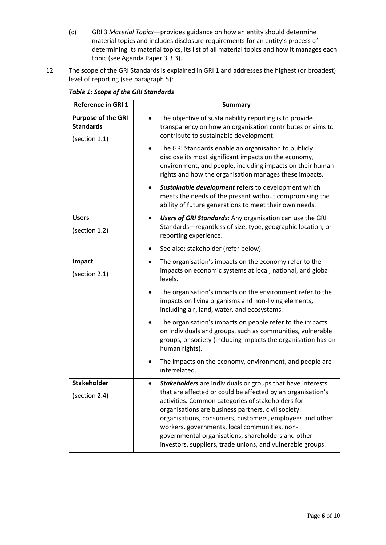- (c) GRI 3 *Material Topics*—provides guidance on how an entity should determine material topics and includes disclosure requirements for an entity's process of determining its material topics, its list of all material topics and how it manages each topic (see Agenda Paper 3.3.3).
- 12 The scope of the GRI Standards is explained in GRI 1 and addresses the highest (or broadest) level of reporting (see paragraph 5):

| <b>Reference in GRI 1</b>                                      | <b>Summary</b>                                                                                                                                                                                                                                                                                                                                                                                                                                                                    |
|----------------------------------------------------------------|-----------------------------------------------------------------------------------------------------------------------------------------------------------------------------------------------------------------------------------------------------------------------------------------------------------------------------------------------------------------------------------------------------------------------------------------------------------------------------------|
| <b>Purpose of the GRI</b><br><b>Standards</b><br>(section 1.1) | The objective of sustainability reporting is to provide<br>transparency on how an organisation contributes or aims to<br>contribute to sustainable development.                                                                                                                                                                                                                                                                                                                   |
|                                                                | The GRI Standards enable an organisation to publicly<br>٠<br>disclose its most significant impacts on the economy,<br>environment, and people, including impacts on their human<br>rights and how the organisation manages these impacts.                                                                                                                                                                                                                                         |
|                                                                | Sustainable development refers to development which<br>meets the needs of the present without compromising the<br>ability of future generations to meet their own needs.                                                                                                                                                                                                                                                                                                          |
| <b>Users</b><br>(section 1.2)                                  | Users of GRI Standards: Any organisation can use the GRI<br>Standards-regardless of size, type, geographic location, or<br>reporting experience.                                                                                                                                                                                                                                                                                                                                  |
|                                                                | See also: stakeholder (refer below).<br>٠                                                                                                                                                                                                                                                                                                                                                                                                                                         |
| Impact<br>(section 2.1)                                        | The organisation's impacts on the economy refer to the<br>٠<br>impacts on economic systems at local, national, and global<br>levels.                                                                                                                                                                                                                                                                                                                                              |
|                                                                | The organisation's impacts on the environment refer to the<br>impacts on living organisms and non-living elements,<br>including air, land, water, and ecosystems.                                                                                                                                                                                                                                                                                                                 |
|                                                                | The organisation's impacts on people refer to the impacts<br>٠<br>on individuals and groups, such as communities, vulnerable<br>groups, or society (including impacts the organisation has on<br>human rights).                                                                                                                                                                                                                                                                   |
|                                                                | The impacts on the economy, environment, and people are<br>interrelated.                                                                                                                                                                                                                                                                                                                                                                                                          |
| <b>Stakeholder</b><br>(section 2.4)                            | <b>Stakeholders</b> are individuals or groups that have interests<br>٠<br>that are affected or could be affected by an organisation's<br>activities. Common categories of stakeholders for<br>organisations are business partners, civil society<br>organisations, consumers, customers, employees and other<br>workers, governments, local communities, non-<br>governmental organisations, shareholders and other<br>investors, suppliers, trade unions, and vulnerable groups. |

*Table 1: Scope of the GRI Standards*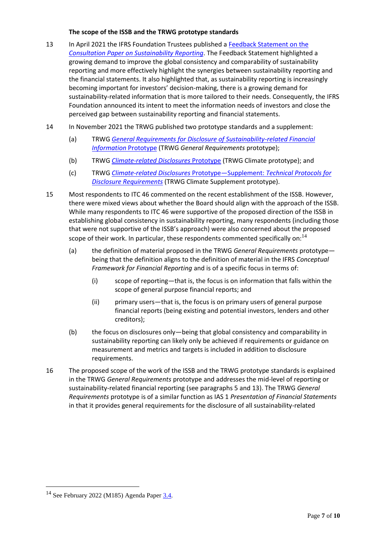#### **The scope of the ISSB and the TRWG prototype standards**

- 13 In April 2021 the IFRS Foundation Trustees published a [Feedback Statement on the](https://www.ifrs.org/content/dam/ifrs/project/sustainability-reporting/sustainability-consultation-paper-feedback-statement.pdf)  *[Consultation Paper on Sustainability Reporting](https://www.ifrs.org/content/dam/ifrs/project/sustainability-reporting/sustainability-consultation-paper-feedback-statement.pdf)*. The Feedback Statement highlighted a growing demand to improve the global consistency and comparability of sustainability reporting and more effectively highlight the synergies between sustainability reporting and the financial statements. It also highlighted that, as sustainability reporting is increasingly becoming important for investors' decision-making, there is a growing demand for sustainability-related information that is more tailored to their needs. Consequently, the IFRS Foundation announced its intent to meet the information needs of investors and close the perceived gap between sustainability reporting and financial statements.
- 14 In November 2021 the TRWG published two prototype standards and a supplement:
	- (a) TRWG *[General Requirements for Disclosure of Sustainability-related](https://www.ifrs.org/content/dam/ifrs/groups/trwg/trwg-general-requirements-prototype.pdf) Financial [Information](https://www.ifrs.org/content/dam/ifrs/groups/trwg/trwg-general-requirements-prototype.pdf)* Prototype (TRWG *General Requirements* prototype);
	- (b) TRWG *[Climate-related Disclosures](https://www.ifrs.org/content/dam/ifrs/groups/trwg/trwg-climate-related-disclosures-prototype.pdf)* Prototype (TRWG Climate prototype); and
	- (c) TRWG *[Climate-related Disclosures](https://www.ifrs.org/content/dam/ifrs/groups/trwg/climate-related-disclosures-prototype-technical-protocols-supplement.pdf)* Prototype—Supplement: *Technical Protocols for [Disclosure Requirements](https://www.ifrs.org/content/dam/ifrs/groups/trwg/climate-related-disclosures-prototype-technical-protocols-supplement.pdf)* (TRWG Climate Supplement prototype).
- 15 Most respondents to ITC 46 commented on the recent establishment of the ISSB. However, there were mixed views about whether the Board should align with the approach of the ISSB. While many respondents to ITC 46 were supportive of the proposed direction of the ISSB in establishing global consistency in sustainability reporting, many respondents (including those that were not supportive of the ISSB's approach) were also concerned about the proposed scope of their work. In particular, these respondents commented specifically on: $<sup>14</sup>$ </sup>
	- (a) the definition of material proposed in the TRWG *General Requirements* prototype being that the definition aligns to the definition of material in the IFRS *Conceptual Framework for Financial Reporting* and is of a specific focus in terms of:
		- (i) scope of reporting—that is, the focus is on information that falls within the scope of general purpose financial reports; and
		- (ii) primary users—that is, the focus is on primary users of general purpose financial reports (being existing and potential investors, lenders and other creditors);
	- (b) the focus on disclosures only—being that global consistency and comparability in sustainability reporting can likely only be achieved if requirements or guidance on measurement and metrics and targets is included in addition to disclosure requirements.
- 16 The proposed scope of the work of the ISSB and the TRWG prototype standards is explained in the TRWG *General Requirements* prototype and addresses the mid-level of reporting or sustainability-related financial reporting (see paragraphs 5 and 13). The TRWG *General Requirements* prototype is of a similar function as IAS 1 *Presentation of Financial Statements* in that it provides general requirements for the disclosure of all sustainability-related

<sup>&</sup>lt;sup>14</sup> See February 2022 (M185) Agenda Pape[r 3.4.](https://www.aasb.gov.au/media/ylwp41rf/3-4_sr_feedbacksummary_itc46_m185_pp.pdf)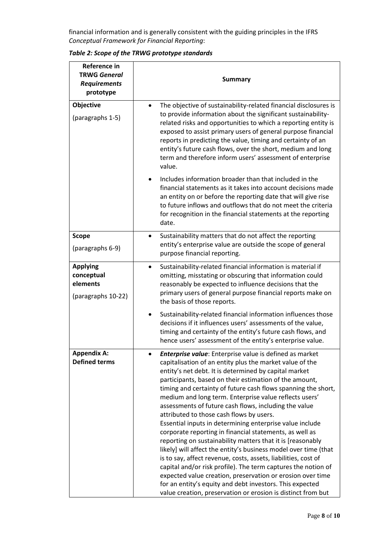financial information and is generally consistent with the guiding principles in the IFRS *Conceptual Framework for Financial Reporting*:

| Reference in<br><b>TRWG General</b><br><b>Requirements</b><br>prototype | <b>Summary</b>                                                                                                                                                                                                                                                                                                                                                                                                                                                                                                                                                                                                                                                                                                                                                                                                                                                                                                                                                                                                                                                     |
|-------------------------------------------------------------------------|--------------------------------------------------------------------------------------------------------------------------------------------------------------------------------------------------------------------------------------------------------------------------------------------------------------------------------------------------------------------------------------------------------------------------------------------------------------------------------------------------------------------------------------------------------------------------------------------------------------------------------------------------------------------------------------------------------------------------------------------------------------------------------------------------------------------------------------------------------------------------------------------------------------------------------------------------------------------------------------------------------------------------------------------------------------------|
| Objective<br>(paragraphs 1-5)                                           | The objective of sustainability-related financial disclosures is<br>to provide information about the significant sustainability-<br>related risks and opportunities to which a reporting entity is<br>exposed to assist primary users of general purpose financial<br>reports in predicting the value, timing and certainty of an<br>entity's future cash flows, over the short, medium and long<br>term and therefore inform users' assessment of enterprise<br>value.                                                                                                                                                                                                                                                                                                                                                                                                                                                                                                                                                                                            |
|                                                                         | Includes information broader than that included in the<br>financial statements as it takes into account decisions made<br>an entity on or before the reporting date that will give rise<br>to future inflows and outflows that do not meet the criteria<br>for recognition in the financial statements at the reporting<br>date.                                                                                                                                                                                                                                                                                                                                                                                                                                                                                                                                                                                                                                                                                                                                   |
| <b>Scope</b><br>(paragraphs 6-9)                                        | Sustainability matters that do not affect the reporting<br>٠<br>entity's enterprise value are outside the scope of general<br>purpose financial reporting.                                                                                                                                                                                                                                                                                                                                                                                                                                                                                                                                                                                                                                                                                                                                                                                                                                                                                                         |
| <b>Applying</b><br>conceptual<br>elements<br>(paragraphs 10-22)         | Sustainability-related financial information is material if<br>omitting, misstating or obscuring that information could<br>reasonably be expected to influence decisions that the<br>primary users of general purpose financial reports make on<br>the basis of those reports.                                                                                                                                                                                                                                                                                                                                                                                                                                                                                                                                                                                                                                                                                                                                                                                     |
|                                                                         | Sustainability-related financial information influences those<br>decisions if it influences users' assessments of the value,<br>timing and certainty of the entity's future cash flows, and<br>hence users' assessment of the entity's enterprise value.                                                                                                                                                                                                                                                                                                                                                                                                                                                                                                                                                                                                                                                                                                                                                                                                           |
| <b>Appendix A:</b><br><b>Defined terms</b>                              | <b>Enterprise value:</b> Enterprise value is defined as market<br>capitalisation of an entity plus the market value of the<br>entity's net debt. It is determined by capital market<br>participants, based on their estimation of the amount,<br>timing and certainty of future cash flows spanning the short,<br>medium and long term. Enterprise value reflects users'<br>assessments of future cash flows, including the value<br>attributed to those cash flows by users.<br>Essential inputs in determining enterprise value include<br>corporate reporting in financial statements, as well as<br>reporting on sustainability matters that it is [reasonably<br>likely] will affect the entity's business model over time (that<br>is to say, affect revenue, costs, assets, liabilities, cost of<br>capital and/or risk profile). The term captures the notion of<br>expected value creation, preservation or erosion over time<br>for an entity's equity and debt investors. This expected<br>value creation, preservation or erosion is distinct from but |

*Table 2: Scope of the TRWG prototype standards*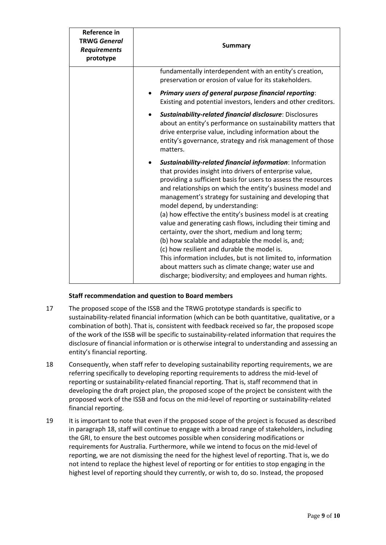| Reference in<br><b>TRWG General</b><br><b>Requirements</b><br>prototype | <b>Summary</b>                                                                                                                                                                                                                                                                                                                                                                                                                                                                                                                                                                                                                                                                                                                                                                                                                      |  |
|-------------------------------------------------------------------------|-------------------------------------------------------------------------------------------------------------------------------------------------------------------------------------------------------------------------------------------------------------------------------------------------------------------------------------------------------------------------------------------------------------------------------------------------------------------------------------------------------------------------------------------------------------------------------------------------------------------------------------------------------------------------------------------------------------------------------------------------------------------------------------------------------------------------------------|--|
|                                                                         | fundamentally interdependent with an entity's creation,<br>preservation or erosion of value for its stakeholders.                                                                                                                                                                                                                                                                                                                                                                                                                                                                                                                                                                                                                                                                                                                   |  |
|                                                                         | Primary users of general purpose financial reporting:<br>Existing and potential investors, lenders and other creditors.                                                                                                                                                                                                                                                                                                                                                                                                                                                                                                                                                                                                                                                                                                             |  |
|                                                                         | <b>Sustainability-related financial disclosure: Disclosures</b><br>about an entity's performance on sustainability matters that<br>drive enterprise value, including information about the<br>entity's governance, strategy and risk management of those<br>matters.                                                                                                                                                                                                                                                                                                                                                                                                                                                                                                                                                                |  |
|                                                                         | Sustainability-related financial information: Information<br>٠<br>that provides insight into drivers of enterprise value,<br>providing a sufficient basis for users to assess the resources<br>and relationships on which the entity's business model and<br>management's strategy for sustaining and developing that<br>model depend, by understanding:<br>(a) how effective the entity's business model is at creating<br>value and generating cash flows, including their timing and<br>certainty, over the short, medium and long term;<br>(b) how scalable and adaptable the model is, and;<br>(c) how resilient and durable the model is.<br>This information includes, but is not limited to, information<br>about matters such as climate change; water use and<br>discharge; biodiversity; and employees and human rights. |  |

#### **Staff recommendation and question to Board members**

- 17 The proposed scope of the ISSB and the TRWG prototype standards is specific to sustainability-related financial information (which can be both quantitative, qualitative, or a combination of both). That is, consistent with feedback received so far, the proposed scope of the work of the ISSB will be specific to sustainability-related information that requires the disclosure of financial information or is otherwise integral to understanding and assessing an entity's financial reporting.
- 18 Consequently, when staff refer to developing sustainability reporting requirements, we are referring specifically to developing reporting requirements to address the mid-level of reporting or sustainability-related financial reporting. That is, staff recommend that in developing the draft project plan, the proposed scope of the project be consistent with the proposed work of the ISSB and focus on the mid-level of reporting or sustainability-related financial reporting.
- 19 It is important to note that even if the proposed scope of the project is focused as described in paragraph 18, staff will continue to engage with a broad range of stakeholders, including the GRI, to ensure the best outcomes possible when considering modifications or requirements for Australia. Furthermore, while we intend to focus on the mid-level of reporting, we are not dismissing the need for the highest level of reporting. That is, we do not intend to replace the highest level of reporting or for entities to stop engaging in the highest level of reporting should they currently, or wish to, do so. Instead, the proposed